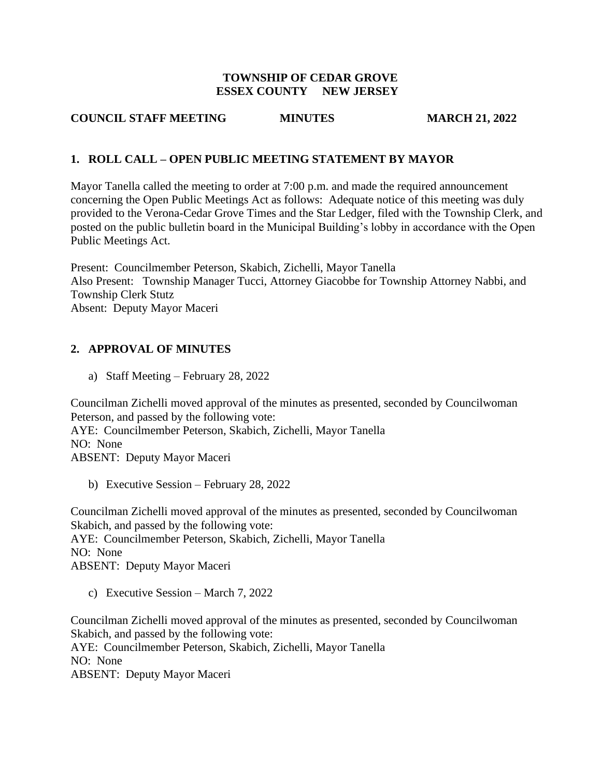#### **TOWNSHIP OF CEDAR GROVE ESSEX COUNTY NEW JERSEY**

### **COUNCIL STAFF MEETING MINUTES MARCH 21, 2022**

### **1. ROLL CALL – OPEN PUBLIC MEETING STATEMENT BY MAYOR**

Mayor Tanella called the meeting to order at 7:00 p.m. and made the required announcement concerning the Open Public Meetings Act as follows: Adequate notice of this meeting was duly provided to the Verona-Cedar Grove Times and the Star Ledger, filed with the Township Clerk, and posted on the public bulletin board in the Municipal Building's lobby in accordance with the Open Public Meetings Act.

Present: Councilmember Peterson, Skabich, Zichelli, Mayor Tanella Also Present: Township Manager Tucci, Attorney Giacobbe for Township Attorney Nabbi, and Township Clerk Stutz Absent: Deputy Mayor Maceri

## **2. APPROVAL OF MINUTES**

a) Staff Meeting – February 28, 2022

Councilman Zichelli moved approval of the minutes as presented, seconded by Councilwoman Peterson, and passed by the following vote: AYE: Councilmember Peterson, Skabich, Zichelli, Mayor Tanella NO: None ABSENT: Deputy Mayor Maceri

b) Executive Session – February 28, 2022

Councilman Zichelli moved approval of the minutes as presented, seconded by Councilwoman Skabich, and passed by the following vote: AYE: Councilmember Peterson, Skabich, Zichelli, Mayor Tanella

NO: None

ABSENT: Deputy Mayor Maceri

c) Executive Session – March 7, 2022

Councilman Zichelli moved approval of the minutes as presented, seconded by Councilwoman Skabich, and passed by the following vote: AYE: Councilmember Peterson, Skabich, Zichelli, Mayor Tanella NO: None ABSENT: Deputy Mayor Maceri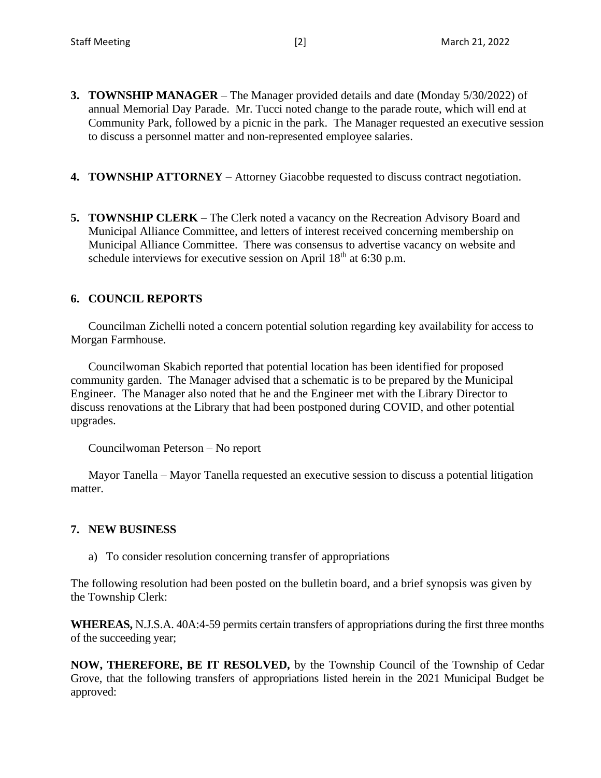- **3. TOWNSHIP MANAGER** The Manager provided details and date (Monday 5/30/2022) of annual Memorial Day Parade. Mr. Tucci noted change to the parade route, which will end at Community Park, followed by a picnic in the park. The Manager requested an executive session to discuss a personnel matter and non-represented employee salaries.
- **4. TOWNSHIP ATTORNEY** Attorney Giacobbe requested to discuss contract negotiation.
- **5. TOWNSHIP CLERK** The Clerk noted a vacancy on the Recreation Advisory Board and Municipal Alliance Committee, and letters of interest received concerning membership on Municipal Alliance Committee. There was consensus to advertise vacancy on website and schedule interviews for executive session on April  $18<sup>th</sup>$  at 6:30 p.m.

#### **6. COUNCIL REPORTS**

Councilman Zichelli noted a concern potential solution regarding key availability for access to Morgan Farmhouse.

Councilwoman Skabich reported that potential location has been identified for proposed community garden. The Manager advised that a schematic is to be prepared by the Municipal Engineer. The Manager also noted that he and the Engineer met with the Library Director to discuss renovations at the Library that had been postponed during COVID, and other potential upgrades.

Councilwoman Peterson – No report

Mayor Tanella – Mayor Tanella requested an executive session to discuss a potential litigation matter.

#### **7. NEW BUSINESS**

a) To consider resolution concerning transfer of appropriations

The following resolution had been posted on the bulletin board, and a brief synopsis was given by the Township Clerk:

**WHEREAS,** N.J.S.A. 40A:4-59 permits certain transfers of appropriations during the first three months of the succeeding year;

**NOW, THEREFORE, BE IT RESOLVED,** by the Township Council of the Township of Cedar Grove, that the following transfers of appropriations listed herein in the 2021 Municipal Budget be approved: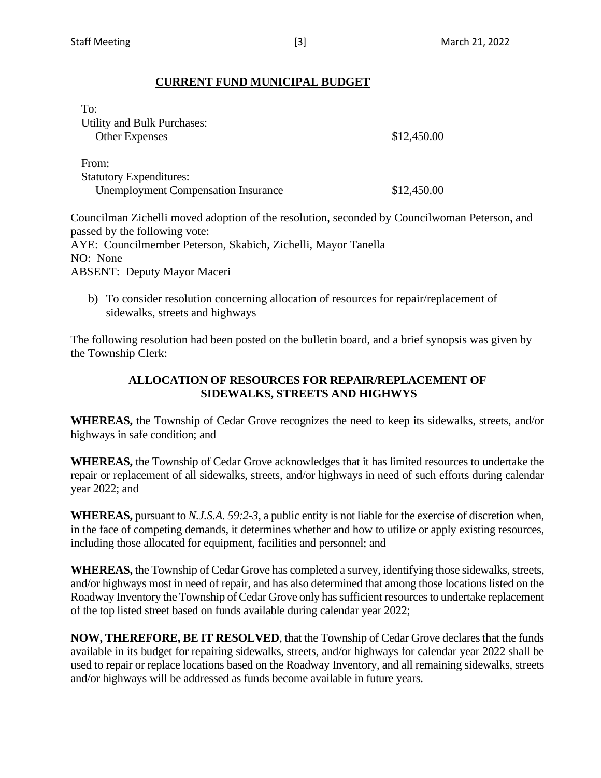### **CURRENT FUND MUNICIPAL BUDGET**

| To:<br>Utility and Bulk Purchases:<br><b>Other Expenses</b>                           | \$12,450.00 |
|---------------------------------------------------------------------------------------|-------------|
| From:<br><b>Statutory Expenditures:</b><br><b>Unemployment Compensation Insurance</b> | \$12,450.00 |

Councilman Zichelli moved adoption of the resolution, seconded by Councilwoman Peterson, and passed by the following vote: AYE: Councilmember Peterson, Skabich, Zichelli, Mayor Tanella NO: None ABSENT: Deputy Mayor Maceri

b) To consider resolution concerning allocation of resources for repair/replacement of sidewalks, streets and highways

The following resolution had been posted on the bulletin board, and a brief synopsis was given by the Township Clerk:

### **ALLOCATION OF RESOURCES FOR REPAIR/REPLACEMENT OF SIDEWALKS, STREETS AND HIGHWYS**

**WHEREAS,** the Township of Cedar Grove recognizes the need to keep its sidewalks, streets, and/or highways in safe condition; and

**WHEREAS,** the Township of Cedar Grove acknowledges that it has limited resources to undertake the repair or replacement of all sidewalks, streets, and/or highways in need of such efforts during calendar year 2022; and

**WHEREAS,** pursuant to *N.J.S.A. 59:2-3,* a public entity is not liable for the exercise of discretion when, in the face of competing demands, it determines whether and how to utilize or apply existing resources, including those allocated for equipment, facilities and personnel; and

**WHEREAS,** the Township of Cedar Grove has completed a survey, identifying those sidewalks, streets, and/or highways most in need of repair, and has also determined that among those locations listed on the Roadway Inventory the Township of Cedar Grove only has sufficient resources to undertake replacement of the top listed street based on funds available during calendar year 2022;

**NOW, THEREFORE, BE IT RESOLVED**, that the Township of Cedar Grove declares that the funds available in its budget for repairing sidewalks, streets, and/or highways for calendar year 2022 shall be used to repair or replace locations based on the Roadway Inventory, and all remaining sidewalks, streets and/or highways will be addressed as funds become available in future years.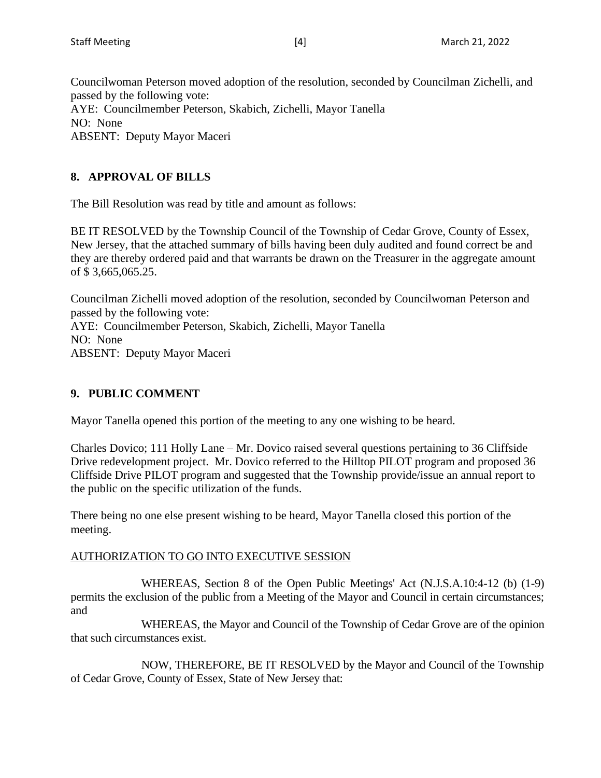Councilwoman Peterson moved adoption of the resolution, seconded by Councilman Zichelli, and passed by the following vote: AYE: Councilmember Peterson, Skabich, Zichelli, Mayor Tanella NO: None ABSENT: Deputy Mayor Maceri

# **8. APPROVAL OF BILLS**

The Bill Resolution was read by title and amount as follows:

BE IT RESOLVED by the Township Council of the Township of Cedar Grove, County of Essex, New Jersey, that the attached summary of bills having been duly audited and found correct be and they are thereby ordered paid and that warrants be drawn on the Treasurer in the aggregate amount of \$ 3,665,065.25.

Councilman Zichelli moved adoption of the resolution, seconded by Councilwoman Peterson and passed by the following vote: AYE: Councilmember Peterson, Skabich, Zichelli, Mayor Tanella NO: None ABSENT: Deputy Mayor Maceri

### **9. PUBLIC COMMENT**

Mayor Tanella opened this portion of the meeting to any one wishing to be heard.

Charles Dovico; 111 Holly Lane – Mr. Dovico raised several questions pertaining to 36 Cliffside Drive redevelopment project. Mr. Dovico referred to the Hilltop PILOT program and proposed 36 Cliffside Drive PILOT program and suggested that the Township provide/issue an annual report to the public on the specific utilization of the funds.

There being no one else present wishing to be heard, Mayor Tanella closed this portion of the meeting.

### AUTHORIZATION TO GO INTO EXECUTIVE SESSION

WHEREAS, Section 8 of the Open Public Meetings' Act (N.J.S.A.10:4-12 (b) (1-9) permits the exclusion of the public from a Meeting of the Mayor and Council in certain circumstances; and

WHEREAS, the Mayor and Council of the Township of Cedar Grove are of the opinion that such circumstances exist.

NOW, THEREFORE, BE IT RESOLVED by the Mayor and Council of the Township of Cedar Grove, County of Essex, State of New Jersey that: